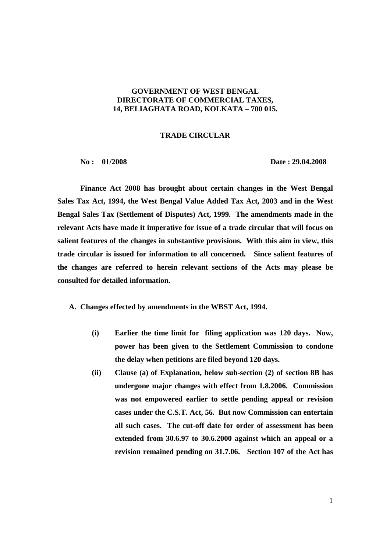## **GOVERNMENT OF WEST BENGAL DIRECTORATE OF COMMERCIAL TAXES, 14, BELIAGHATA ROAD, KOLKATA – 700 015.**

## **TRADE CIRCULAR**

 **No : 01/2008 Date : 29.04.2008** 

 **Finance Act 2008 has brought about certain changes in the West Bengal Sales Tax Act, 1994, the West Bengal Value Added Tax Act, 2003 and in the West Bengal Sales Tax (Settlement of Disputes) Act, 1999. The amendments made in the relevant Acts have made it imperative for issue of a trade circular that will focus on salient features of the changes in substantive provisions. With this aim in view, this trade circular is issued for information to all concerned. Since salient features of the changes are referred to herein relevant sections of the Acts may please be consulted for detailed information.** 

**A. Changes effected by amendments in the WBST Act, 1994.** 

- **(i) Earlier the time limit for filing application was 120 days. Now, power has been given to the Settlement Commission to condone the delay when petitions are filed beyond 120 days.**
- **(ii) Clause (a) of Explanation, below sub-section (2) of section 8B has undergone major changes with effect from 1.8.2006. Commission was not empowered earlier to settle pending appeal or revision cases under the C.S.T. Act, 56. But now Commission can entertain all such cases. The cut-off date for order of assessment has been extended from 30.6.97 to 30.6.2000 against which an appeal or a revision remained pending on 31.7.06. Section 107 of the Act has**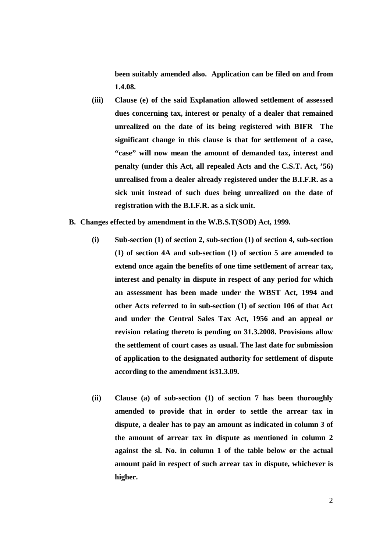**been suitably amended also. Application can be filed on and from 1.4.08.** 

- **(iii) Clause (e) of the said Explanation allowed settlement of assessed dues concerning tax, interest or penalty of a dealer that remained unrealized on the date of its being registered with BIFR The significant change in this clause is that for settlement of a case, "case" will now mean the amount of demanded tax, interest and penalty (under this Act, all repealed Acts and the C.S.T. Act, '56) unrealised from a dealer already registered under the B.I.F.R. as a sick unit instead of such dues being unrealized on the date of registration with the B.I.F.R. as a sick unit.**
- **B. Changes effected by amendment in the W.B.S.T(SOD) Act, 1999.** 
	- **(i) Sub-section (1) of section 2, sub-section (1) of section 4, sub-section (1) of section 4A and sub-section (1) of section 5 are amended to extend once again the benefits of one time settlement of arrear tax, interest and penalty in dispute in respect of any period for which an assessment has been made under the WBST Act, 1994 and other Acts referred to in sub-section (1) of section 106 of that Act and under the Central Sales Tax Act, 1956 and an appeal or revision relating thereto is pending on 31.3.2008. Provisions allow the settlement of court cases as usual. The last date for submission of application to the designated authority for settlement of dispute according to the amendment is31.3.09.**
	- **(ii) Clause (a) of sub-section (1) of section 7 has been thoroughly amended to provide that in order to settle the arrear tax in dispute, a dealer has to pay an amount as indicated in column 3 of the amount of arrear tax in dispute as mentioned in column 2 against the sl. No. in column 1 of the table below or the actual amount paid in respect of such arrear tax in dispute, whichever is higher.**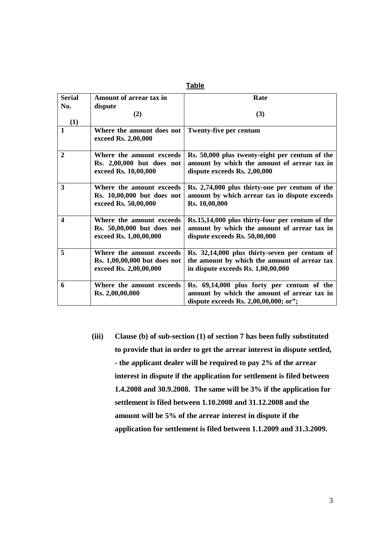| <b>Serial</b>  | Amount of arrear tax in      | Rate                                                                                           |
|----------------|------------------------------|------------------------------------------------------------------------------------------------|
| No.            | dispute                      |                                                                                                |
|                | (2)                          | (3)                                                                                            |
| (1)            |                              |                                                                                                |
|                | Where the amount does not    | Twenty-five per centum                                                                         |
|                | exceed Rs. 2,00,000          |                                                                                                |
|                |                              |                                                                                                |
| $\overline{2}$ | Where the amount exceeds     | Rs. 50,000 plus twenty-eight per centum of the                                                 |
|                | Rs. 2,00,000 but does not    | amount by which the amount of arrear tax in                                                    |
|                | exceed Rs. 10,00,000         | dispute exceeds Rs. 2,00,000                                                                   |
|                |                              |                                                                                                |
| 3              | Where the amount exceeds     | Rs. 2,74,000 plus thirty-one per centum of the                                                 |
|                | Rs. 10,00,000 but does not   | amount by which arrear tax in dispute exceeds                                                  |
|                | exceed Rs. 50,00,000         | Rs. 10,00,000                                                                                  |
| 4              | Where the amount exceeds     |                                                                                                |
|                | Rs. 50,00,000 but does not   | Rs.15,14,000 plus thirty-four per centum of the<br>amount by which the amount of arrear tax in |
|                | exceed Rs. 1,00,00,000       | dispute exceeds Rs. 50,00,000                                                                  |
|                |                              |                                                                                                |
| 5              | Where the amount exceeds     | Rs. 32,14,000 plus thirty-seven per centum of                                                  |
|                | Rs. 1,00,00,000 but does not | the amount by which the amount of arrear tax                                                   |
|                | exceed Rs. 2,00,00,000       | in dispute exceeds Rs. 1,00,00,000                                                             |
|                |                              |                                                                                                |
| 6              | Where the amount exceeds     | Rs. 69,14,000 plus forty per centum of the                                                     |
|                | Rs. 2,00,00,000              | amount by which the amount of arrear tax in                                                    |
|                |                              | dispute exceeds Rs. 2,00,00,000; or";                                                          |

**(iii) Clause (b) of sub-section (1) of section 7 has been fully substituted to provide that in order to get the arrear interest in dispute settled, - the applicant dealer will be required to pay 2% of the arrear interest in dispute if the application for settlement is filed between 1.4.2008 and 30.9.2008. The same will be 3% if the application for settlement is filed between 1.10.2008 and 31.12.2008 and the amount will be 5% of the arrear interest in dispute if the application for settlement is filed between 1.1.2009 and 31.3.2009.**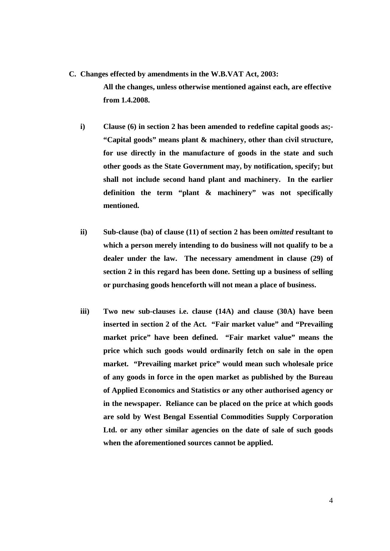- **C. Changes effected by amendments in the W.B.VAT Act, 2003: All the changes, unless otherwise mentioned against each, are effective from 1.4.2008.** 
	- **i) Clause (6) in section 2 has been amended to redefine capital goods as;- "Capital goods" means plant & machinery, other than civil structure, for use directly in the manufacture of goods in the state and such other goods as the State Government may, by notification, specify; but shall not include second hand plant and machinery. In the earlier definition the term "plant & machinery" was not specifically mentioned.**
	- **ii) Sub-clause (ba) of clause (11) of section 2 has been** *omitted* **resultant to which a person merely intending to do business will not qualify to be a dealer under the law. The necessary amendment in clause (29) of section 2 in this regard has been done. Setting up a business of selling or purchasing goods henceforth will not mean a place of business.**
	- **iii) Two new sub-clauses i.e. clause (14A) and clause (30A) have been inserted in section 2 of the Act. "Fair market value" and "Prevailing market price" have been defined. "Fair market value" means the price which such goods would ordinarily fetch on sale in the open market. "Prevailing market price" would mean such wholesale price of any goods in force in the open market as published by the Bureau of Applied Economics and Statistics or any other authorised agency or in the newspaper. Reliance can be placed on the price at which goods are sold by West Bengal Essential Commodities Supply Corporation Ltd. or any other similar agencies on the date of sale of such goods when the aforementioned sources cannot be applied.**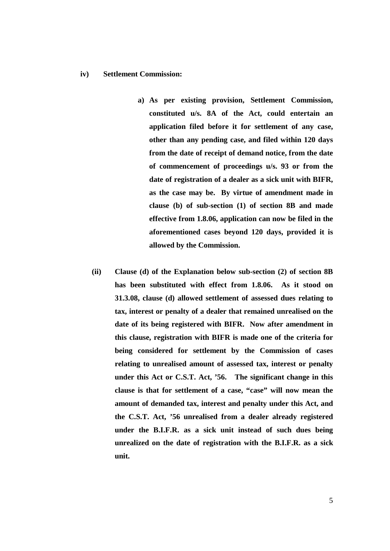## **iv) Settlement Commission:**

- **a) As per existing provision, Settlement Commission, constituted u/s. 8A of the Act, could entertain an application filed before it for settlement of any case, other than any pending case, and filed within 120 days from the date of receipt of demand notice, from the date of commencement of proceedings u/s. 93 or from the date of registration of a dealer as a sick unit with BIFR, as the case may be. By virtue of amendment made in clause (b) of sub-section (1) of section 8B and made effective from 1.8.06, application can now be filed in the aforementioned cases beyond 120 days, provided it is allowed by the Commission.**
- **(ii) Clause (d) of the Explanation below sub-section (2) of section 8B has been substituted with effect from 1.8.06. As it stood on 31.3.08, clause (d) allowed settlement of assessed dues relating to tax, interest or penalty of a dealer that remained unrealised on the date of its being registered with BIFR. Now after amendment in this clause, registration with BIFR is made one of the criteria for being considered for settlement by the Commission of cases relating to unrealised amount of assessed tax, interest or penalty under this Act or C.S.T. Act, '56. The significant change in this clause is that for settlement of a case, "case" will now mean the amount of demanded tax, interest and penalty under this Act, and the C.S.T. Act, '56 unrealised from a dealer already registered under the B.I.F.R. as a sick unit instead of such dues being unrealized on the date of registration with the B.I.F.R. as a sick unit.**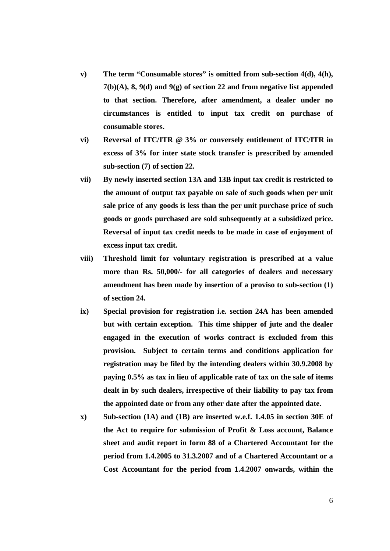- **v) The term "Consumable stores" is omitted from sub-section 4(d), 4(h), 7(b)(A), 8, 9(d) and 9(g) of section 22 and from negative list appended to that section. Therefore, after amendment, a dealer under no circumstances is entitled to input tax credit on purchase of consumable stores.**
- **vi) Reversal of ITC/ITR @ 3% or conversely entitlement of ITC/ITR in excess of 3% for inter state stock transfer is prescribed by amended sub-section (7) of section 22.**
- **vii) By newly inserted section 13A and 13B input tax credit is restricted to the amount of output tax payable on sale of such goods when per unit sale price of any goods is less than the per unit purchase price of such goods or goods purchased are sold subsequently at a subsidized price. Reversal of input tax credit needs to be made in case of enjoyment of excess input tax credit.**
- **viii) Threshold limit for voluntary registration is prescribed at a value more than Rs. 50,000/- for all categories of dealers and necessary amendment has been made by insertion of a proviso to sub-section (1) of section 24.**
- **ix) Special provision for registration i.e. section 24A has been amended but with certain exception. This time shipper of jute and the dealer engaged in the execution of works contract is excluded from this provision. Subject to certain terms and conditions application for registration may be filed by the intending dealers within 30.9.2008 by paying 0.5% as tax in lieu of applicable rate of tax on the sale of items dealt in by such dealers, irrespective of their liability to pay tax from the appointed date or from any other date after the appointed date.**
- **x) Sub-section (1A) and (1B) are inserted w.e.f. 1.4.05 in section 30E of the Act to require for submission of Profit & Loss account, Balance sheet and audit report in form 88 of a Chartered Accountant for the period from 1.4.2005 to 31.3.2007 and of a Chartered Accountant or a Cost Accountant for the period from 1.4.2007 onwards, within the**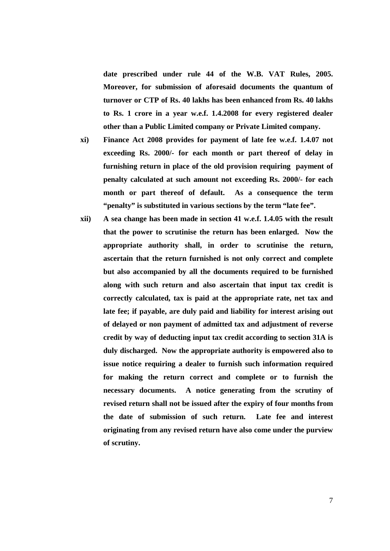**date prescribed under rule 44 of the W.B. VAT Rules, 2005. Moreover, for submission of aforesaid documents the quantum of turnover or CTP of Rs. 40 lakhs has been enhanced from Rs. 40 lakhs to Rs. 1 crore in a year w.e.f. 1.4.2008 for every registered dealer other than a Public Limited company or Private Limited company.** 

- **xi) Finance Act 2008 provides for payment of late fee w.e.f. 1.4.07 not exceeding Rs. 2000/- for each month or part thereof of delay in furnishing return in place of the old provision requiring payment of penalty calculated at such amount not exceeding Rs. 2000/- for each month or part thereof of default. As a consequence the term "penalty" is substituted in various sections by the term "late fee".**
- **xii) A sea change has been made in section 41 w.e.f. 1.4.05 with the result that the power to scrutinise the return has been enlarged. Now the appropriate authority shall, in order to scrutinise the return, ascertain that the return furnished is not only correct and complete but also accompanied by all the documents required to be furnished along with such return and also ascertain that input tax credit is correctly calculated, tax is paid at the appropriate rate, net tax and late fee; if payable, are duly paid and liability for interest arising out of delayed or non payment of admitted tax and adjustment of reverse credit by way of deducting input tax credit according to section 31A is duly discharged. Now the appropriate authority is empowered also to issue notice requiring a dealer to furnish such information required for making the return correct and complete or to furnish the necessary documents. A notice generating from the scrutiny of revised return shall not be issued after the expiry of four months from the date of submission of such return. Late fee and interest originating from any revised return have also come under the purview of scrutiny.**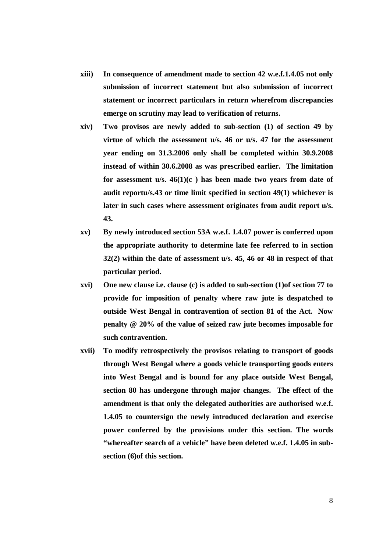- **xiii) In consequence of amendment made to section 42 w.e.f.1.4.05 not only submission of incorrect statement but also submission of incorrect statement or incorrect particulars in return wherefrom discrepancies emerge on scrutiny may lead to verification of returns.**
- **xiv) Two provisos are newly added to sub-section (1) of section 49 by virtue of which the assessment u/s. 46 or u/s. 47 for the assessment year ending on 31.3.2006 only shall be completed within 30.9.2008 instead of within 30.6.2008 as was prescribed earlier. The limitation for assessment u/s. 46(1)(c ) has been made two years from date of audit reportu/s.43 or time limit specified in section 49(1) whichever is later in such cases where assessment originates from audit report u/s. 43.**
- **xv) By newly introduced section 53A w.e.f. 1.4.07 power is conferred upon the appropriate authority to determine late fee referred to in section 32(2) within the date of assessment u/s. 45, 46 or 48 in respect of that particular period.**
- **xvi) One new clause i.e. clause (c) is added to sub-section (1)of section 77 to provide for imposition of penalty where raw jute is despatched to outside West Bengal in contravention of section 81 of the Act. Now penalty @ 20% of the value of seized raw jute becomes imposable for such contravention.**
- **xvii) To modify retrospectively the provisos relating to transport of goods through West Bengal where a goods vehicle transporting goods enters into West Bengal and is bound for any place outside West Bengal, section 80 has undergone through major changes. The effect of the amendment is that only the delegated authorities are authorised w.e.f. 1.4.05 to countersign the newly introduced declaration and exercise power conferred by the provisions under this section. The words "whereafter search of a vehicle" have been deleted w.e.f. 1.4.05 in subsection (6)of this section.**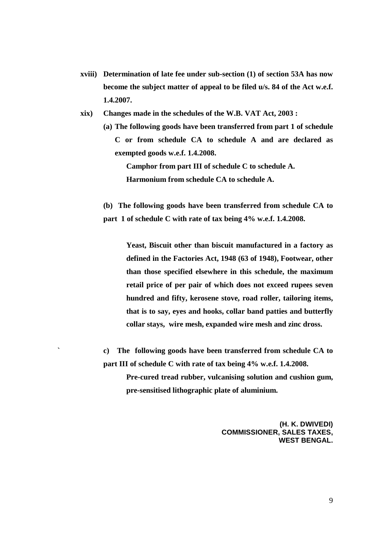- **xviii) Determination of late fee under sub-section (1) of section 53A has now become the subject matter of appeal to be filed u/s. 84 of the Act w.e.f. 1.4.2007.**
- **xix) Changes made in the schedules of the W.B. VAT Act, 2003 :** 
	- **(a) The following goods have been transferred from part 1 of schedule C or from schedule CA to schedule A and are declared as exempted goods w.e.f. 1.4.2008. Camphor from part III of schedule C to schedule A.**

**Harmonium from schedule CA to schedule A.** 

**(b) The following goods have been transferred from schedule CA to part 1 of schedule C with rate of tax being 4% w.e.f. 1.4.2008.** 

> **Yeast, Biscuit other than biscuit manufactured in a factory as defined in the Factories Act, 1948 (63 of 1948), Footwear, other than those specified elsewhere in this schedule, the maximum retail price of per pair of which does not exceed rupees seven hundred and fifty, kerosene stove, road roller, tailoring items, that is to say, eyes and hooks, collar band patties and butterfly collar stays, wire mesh, expanded wire mesh and zinc dross.**

- **` c) The following goods have been transferred from schedule CA to part III of schedule C with rate of tax being 4% w.e.f. 1.4.2008.** 
	- **Pre-cured tread rubber, vulcanising solution and cushion gum, pre-sensitised lithographic plate of aluminium.**

**(H. K. DWIVEDI) COMMISSIONER, SALES TAXES, WEST BENGAL.**